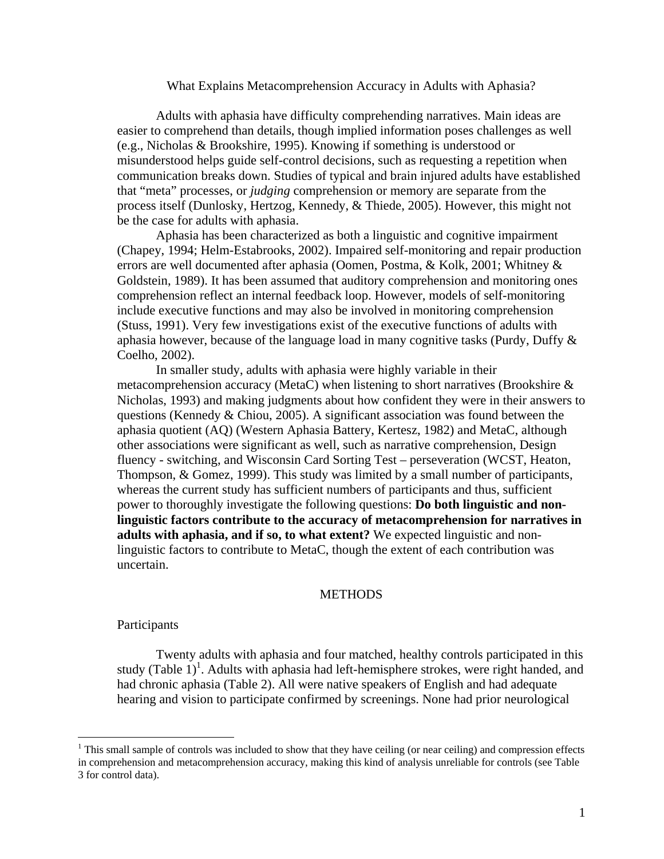## What Explains Metacomprehension Accuracy in Adults with Aphasia?

Adults with aphasia have difficulty comprehending narratives. Main ideas are easier to comprehend than details, though implied information poses challenges as well (e.g., Nicholas & Brookshire, 1995). Knowing if something is understood or misunderstood helps guide self-control decisions, such as requesting a repetition when communication breaks down. Studies of typical and brain injured adults have established that "meta" processes, or *judging* comprehension or memory are separate from the process itself (Dunlosky, Hertzog, Kennedy, & Thiede, 2005). However, this might not be the case for adults with aphasia.

Aphasia has been characterized as both a linguistic and cognitive impairment (Chapey, 1994; Helm-Estabrooks, 2002). Impaired self-monitoring and repair production errors are well documented after aphasia (Oomen, Postma, & Kolk, 2001; Whitney & Goldstein, 1989). It has been assumed that auditory comprehension and monitoring ones comprehension reflect an internal feedback loop. However, models of self-monitoring include executive functions and may also be involved in monitoring comprehension (Stuss, 1991). Very few investigations exist of the executive functions of adults with aphasia however, because of the language load in many cognitive tasks (Purdy, Duffy & Coelho, 2002).

In smaller study, adults with aphasia were highly variable in their metacomprehension accuracy (MetaC) when listening to short narratives (Brookshire & Nicholas, 1993) and making judgments about how confident they were in their answers to questions (Kennedy & Chiou, 2005). A significant association was found between the aphasia quotient (AQ) (Western Aphasia Battery, Kertesz, 1982) and MetaC, although other associations were significant as well, such as narrative comprehension, Design fluency - switching, and Wisconsin Card Sorting Test – perseveration (WCST, Heaton, Thompson, & Gomez, 1999). This study was limited by a small number of participants, whereas the current study has sufficient numbers of participants and thus, sufficient power to thoroughly investigate the following questions: **Do both linguistic and nonlinguistic factors contribute to the accuracy of metacomprehension for narratives in adults with aphasia, and if so, to what extent?** We expected linguistic and nonlinguistic factors to contribute to MetaC, though the extent of each contribution was uncertain.

### **METHODS**

# Participants

 $\overline{a}$ 

 Twenty adults with aphasia and four matched, healthy controls participated in this study (Table  $1$ )<sup>1</sup>. Adults with aphasia had left-hemisphere strokes, were right handed, and had chronic aphasia (Table 2). All were native speakers of English and had adequate hearing and vision to participate confirmed by screenings. None had prior neurological

 $1$  This small sample of controls was included to show that they have ceiling (or near ceiling) and compression effects in comprehension and metacomprehension accuracy, making this kind of analysis unreliable for controls (see Table 3 for control data).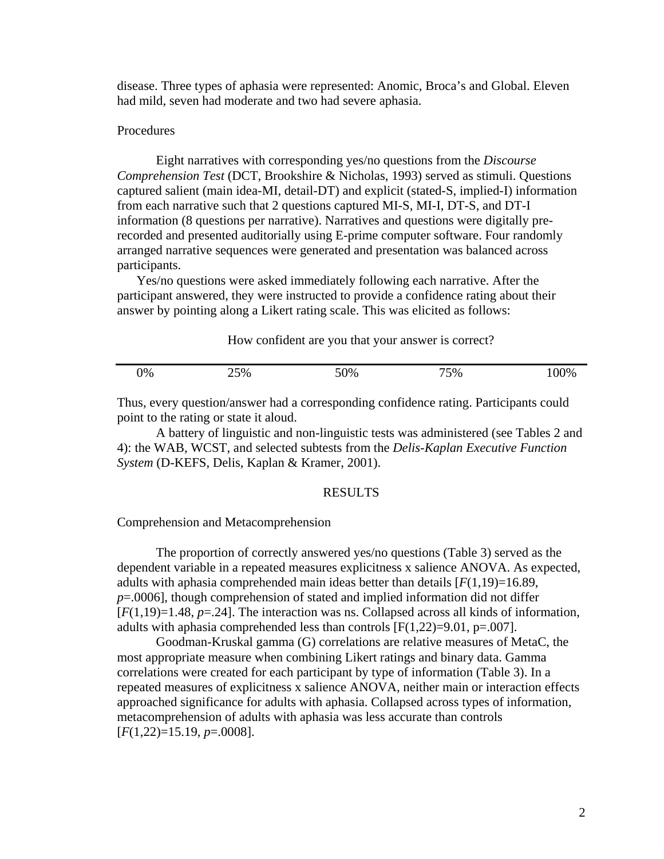disease. Three types of aphasia were represented: Anomic, Broca's and Global. Eleven had mild, seven had moderate and two had severe aphasia.

# Procedures

Eight narratives with corresponding yes/no questions from the *Discourse Comprehension Test* (DCT, Brookshire & Nicholas, 1993) served as stimuli. Questions captured salient (main idea-MI, detail-DT) and explicit (stated-S, implied-I) information from each narrative such that 2 questions captured MI-S, MI-I, DT-S, and DT-I information (8 questions per narrative). Narratives and questions were digitally prerecorded and presented auditorially using E-prime computer software. Four randomly arranged narrative sequences were generated and presentation was balanced across participants.

Yes/no questions were asked immediately following each narrative. After the participant answered, they were instructed to provide a confidence rating about their answer by pointing along a Likert rating scale. This was elicited as follows:

How confident are you that your answer is correct?

| 0% | 25% | 50% | 75% | 100% |
|----|-----|-----|-----|------|
|    |     |     |     |      |

Thus, every question/answer had a corresponding confidence rating. Participants could point to the rating or state it aloud.

 A battery of linguistic and non-linguistic tests was administered (see Tables 2 and 4): the WAB, WCST, and selected subtests from the *Delis-Kaplan Executive Function System* (D-KEFS, Delis, Kaplan & Kramer, 2001).

### RESULTS

Comprehension and Metacomprehension

 The proportion of correctly answered yes/no questions (Table 3) served as the dependent variable in a repeated measures explicitness x salience ANOVA. As expected, adults with aphasia comprehended main ideas better than details  $[F(1,19)=16.89]$ , *p*=.0006], though comprehension of stated and implied information did not differ  $[F(1,19)=1.48, p=.24]$ . The interaction was ns. Collapsed across all kinds of information, adults with aphasia comprehended less than controls  $[F(1,22)=9.01, p=.007]$ .

 Goodman-Kruskal gamma (G) correlations are relative measures of MetaC, the most appropriate measure when combining Likert ratings and binary data. Gamma correlations were created for each participant by type of information (Table 3). In a repeated measures of explicitness x salience ANOVA, neither main or interaction effects approached significance for adults with aphasia. Collapsed across types of information, metacomprehension of adults with aphasia was less accurate than controls [*F*(1,22)=15.19, *p*=.0008].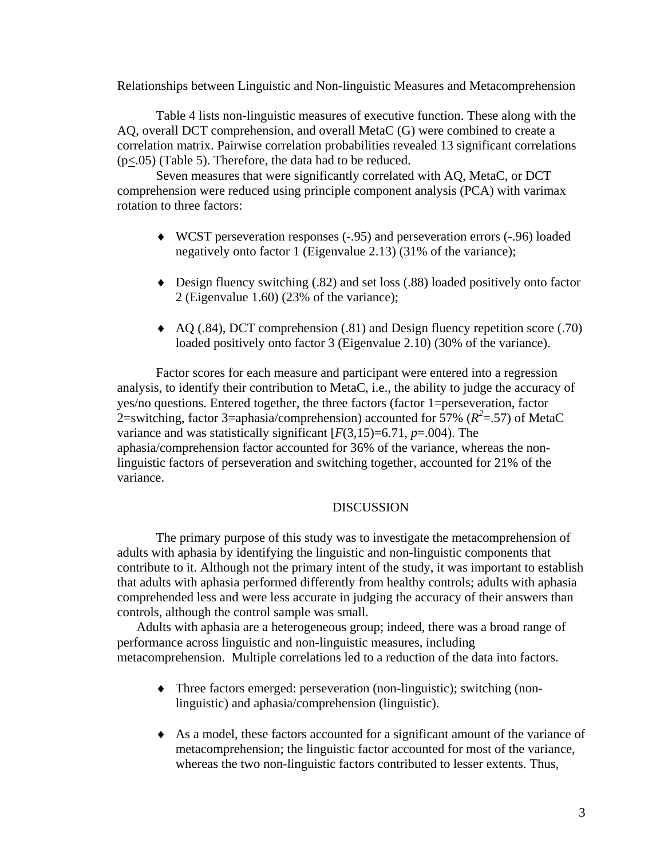Relationships between Linguistic and Non-linguistic Measures and Metacomprehension

 Table 4 lists non-linguistic measures of executive function. These along with the AQ, overall DCT comprehension, and overall MetaC (G) were combined to create a correlation matrix. Pairwise correlation probabilities revealed 13 significant correlations  $(p \le 0.05)$  (Table 5). Therefore, the data had to be reduced.

Seven measures that were significantly correlated with AQ, MetaC, or DCT comprehension were reduced using principle component analysis (PCA) with varimax rotation to three factors:

- ♦ WCST perseveration responses (-.95) and perseveration errors (-.96) loaded negatively onto factor 1 (Eigenvalue 2.13) (31% of the variance);
- ♦ Design fluency switching (.82) and set loss (.88) loaded positively onto factor 2 (Eigenvalue 1.60) (23% of the variance);
- ♦ AQ (.84), DCT comprehension (.81) and Design fluency repetition score (.70) loaded positively onto factor 3 (Eigenvalue 2.10) (30% of the variance).

Factor scores for each measure and participant were entered into a regression analysis, to identify their contribution to MetaC, i.e., the ability to judge the accuracy of yes/no questions. Entered together, the three factors (factor 1=perseveration, factor 2=switching, factor 3=aphasia/comprehension) accounted for 57% ( $R^2$ =.57) of MetaC variance and was statistically significant  $[F(3,15)=6.71, p=.004)$ . The aphasia/comprehension factor accounted for 36% of the variance, whereas the nonlinguistic factors of perseveration and switching together, accounted for 21% of the variance.

# DISCUSSION

 The primary purpose of this study was to investigate the metacomprehension of adults with aphasia by identifying the linguistic and non-linguistic components that contribute to it. Although not the primary intent of the study, it was important to establish that adults with aphasia performed differently from healthy controls; adults with aphasia comprehended less and were less accurate in judging the accuracy of their answers than controls, although the control sample was small.

Adults with aphasia are a heterogeneous group; indeed, there was a broad range of performance across linguistic and non-linguistic measures, including metacomprehension. Multiple correlations led to a reduction of the data into factors.

- ♦ Three factors emerged: perseveration (non-linguistic); switching (nonlinguistic) and aphasia/comprehension (linguistic).
- ♦ As a model, these factors accounted for a significant amount of the variance of metacomprehension; the linguistic factor accounted for most of the variance, whereas the two non-linguistic factors contributed to lesser extents. Thus,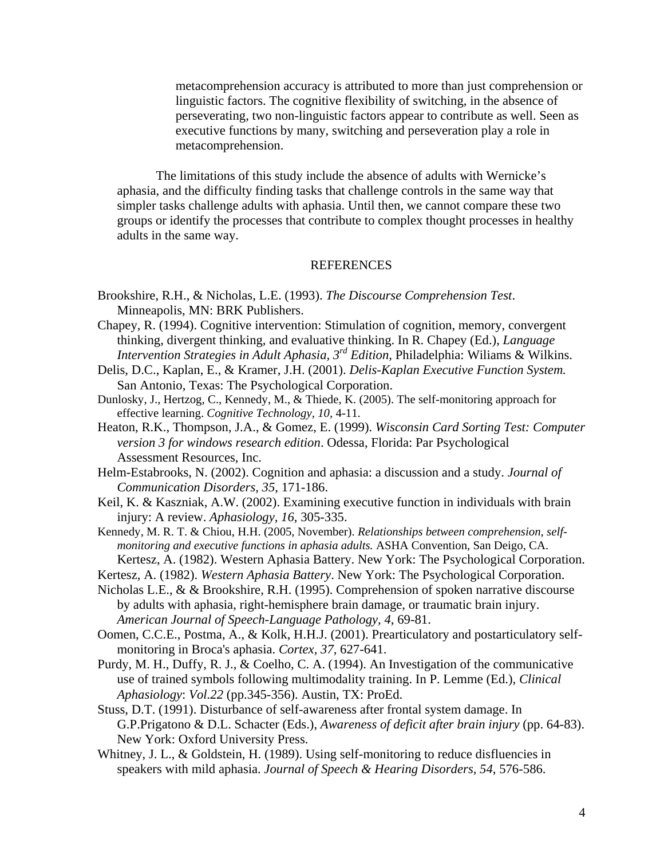metacomprehension accuracy is attributed to more than just comprehension or linguistic factors. The cognitive flexibility of switching, in the absence of perseverating, two non-linguistic factors appear to contribute as well. Seen as executive functions by many, switching and perseveration play a role in metacomprehension.

The limitations of this study include the absence of adults with Wernicke's aphasia, and the difficulty finding tasks that challenge controls in the same way that simpler tasks challenge adults with aphasia. Until then, we cannot compare these two groups or identify the processes that contribute to complex thought processes in healthy adults in the same way.

### REFERENCES

- Brookshire, R.H., & Nicholas, L.E. (1993). *The Discourse Comprehension Test*. Minneapolis, MN: BRK Publishers.
- Chapey, R. (1994). Cognitive intervention: Stimulation of cognition, memory, convergent thinking, divergent thinking, and evaluative thinking. In R. Chapey (Ed.), *Language Intervention Strategies in Adult Aphasia, 3<sup>rd</sup> Edition, Philadelphia: Wiliams & Wilkins.*
- Delis, D.C., Kaplan, E., & Kramer, J.H. (2001). *Delis-Kaplan Executive Function System.*  San Antonio, Texas: The Psychological Corporation.
- Dunlosky, J., Hertzog, C., Kennedy, M., & Thiede, K. (2005). The self-monitoring approach for effective learning. *Cognitive Technology, 10,* 4-11.
- Heaton, R.K., Thompson, J.A., & Gomez, E. (1999). *Wisconsin Card Sorting Test: Computer version 3 for windows research edition*. Odessa, Florida: Par Psychological Assessment Resources, Inc.
- Helm-Estabrooks, N. (2002). Cognition and aphasia: a discussion and a study. *Journal of Communication Disorders, 35*, 171-186.
- Keil, K. & Kaszniak, A.W. (2002). Examining executive function in individuals with brain injury: A review. *Aphasiology, 16*, 305-335.
- Kennedy, M. R. T. & Chiou, H.H. (2005, November). *Relationships between comprehension, selfmonitoring and executive functions in aphasia adults.* ASHA Convention, San Deigo, CA. Kertesz, A. (1982). Western Aphasia Battery. New York: The Psychological Corporation.
- Kertesz, A. (1982). *Western Aphasia Battery*. New York: The Psychological Corporation.
- Nicholas L.E., & & Brookshire, R.H. (1995). Comprehension of spoken narrative discourse by adults with aphasia, right-hemisphere brain damage, or traumatic brain injury. *American Journal of Speech-Language Pathology, 4*, 69-81.
- Oomen, C.C.E., Postma, A., & Kolk, H.H.J. (2001). Prearticulatory and postarticulatory selfmonitoring in Broca's aphasia. *Cortex, 37,* 627-641.
- Purdy, M. H., Duffy, R. J., & Coelho, C. A. (1994). An Investigation of the communicative use of trained symbols following multimodality training. In P. Lemme (Ed.), *Clinical Aphasiology*: *Vol.22* (pp.345-356). Austin, TX: ProEd.
- Stuss, D.T. (1991). Disturbance of self-awareness after frontal system damage. In G.P.Prigatono & D.L. Schacter (Eds.), *Awareness of deficit after brain injury* (pp. 64-83). New York: Oxford University Press.
- Whitney, J. L., & Goldstein, H. (1989). Using self-monitoring to reduce disfluencies in speakers with mild aphasia. *Journal of Speech & Hearing Disorders, 54*, 576-586.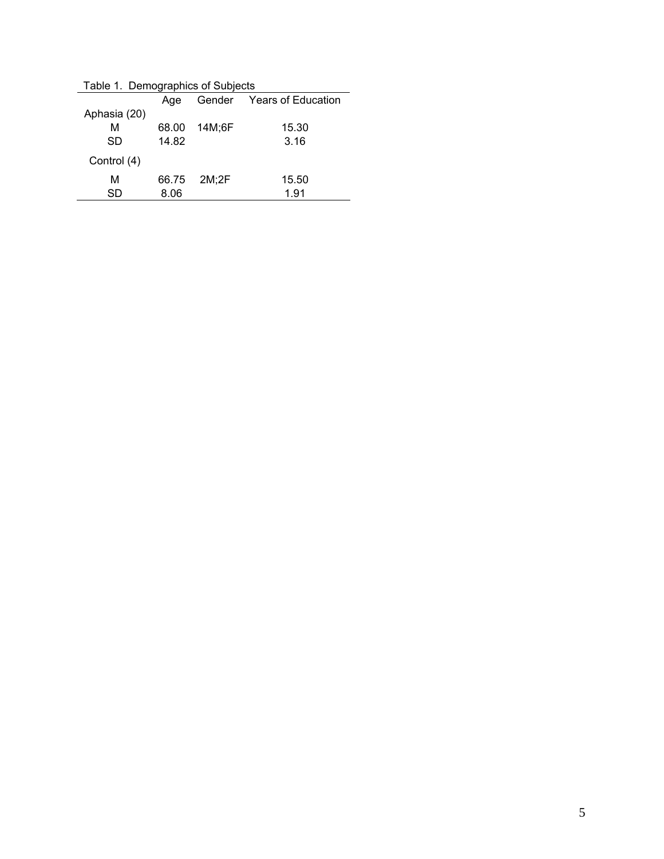|              | Age   |        | Gender Years of Education |
|--------------|-------|--------|---------------------------|
| Aphasia (20) |       |        |                           |
| М            | 68.00 | 14M;6F | 15.30                     |
| SD           | 14.82 |        | 3.16                      |
| Control (4)  |       |        |                           |
| м            | 66.75 | 2M:2F  | 15.50                     |
| SD           | 8.06  |        | 1.91                      |
|              |       |        |                           |

Table 1. Demographics of Subjects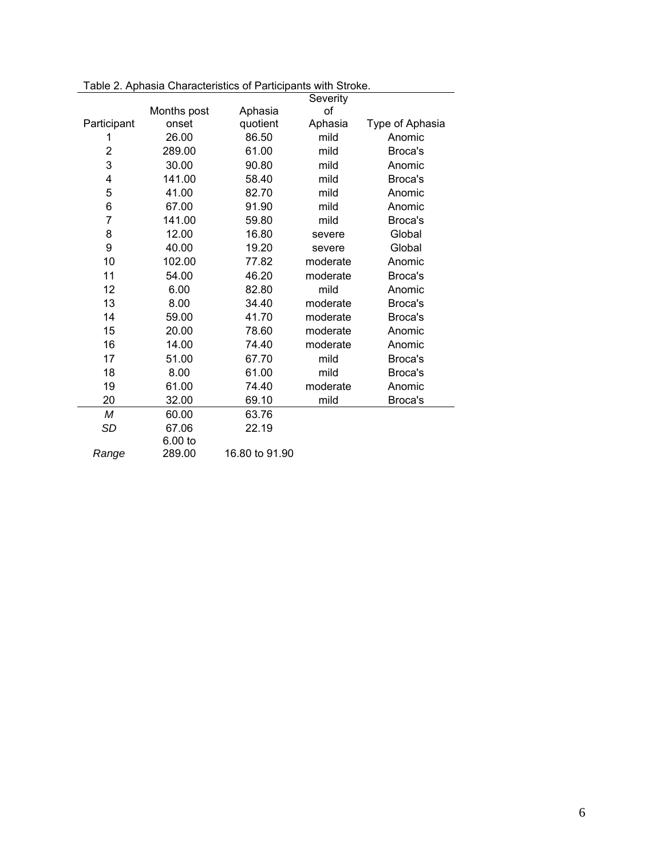|                |             |                | Severity |                 |
|----------------|-------------|----------------|----------|-----------------|
|                | Months post | Aphasia        | οf       |                 |
| Participant    | onset       | quotient       | Aphasia  | Type of Aphasia |
| 1              | 26.00       | 86.50          | mild     | Anomic          |
| $\overline{2}$ | 289.00      | 61.00          | mild     | Broca's         |
| 3              | 30.00       | 90.80          | mild     | Anomic          |
| 4              | 141.00      | 58.40          | mild     | Broca's         |
| 5              | 41.00       | 82.70          | mild     | Anomic          |
| 6              | 67.00       | 91.90          | mild     | Anomic          |
| $\overline{7}$ | 141.00      | 59.80          | mild     | Broca's         |
| 8              | 12.00       | 16.80          | severe   | Global          |
| 9              | 40.00       | 19.20          | severe   | Global          |
| 10             | 102.00      | 77.82          | moderate | Anomic          |
| 11             | 54.00       | 46.20          | moderate | Broca's         |
| 12             | 6.00        | 82.80          | mild     | Anomic          |
| 13             | 8.00        | 34.40          | moderate | Broca's         |
| 14             | 59.00       | 41.70          | moderate | Broca's         |
| 15             | 20.00       | 78.60          | moderate | Anomic          |
| 16             | 14.00       | 74.40          | moderate | Anomic          |
| 17             | 51.00       | 67.70          | mild     | Broca's         |
| 18             | 8.00        | 61.00          | mild     | Broca's         |
| 19             | 61.00       | 74.40          | moderate | Anomic          |
| 20             | 32.00       | 69.10          | mild     | Broca's         |
| М              | 60.00       | 63.76          |          |                 |
| SD             | 67.06       | 22.19          |          |                 |
|                | 6.00 to     |                |          |                 |
| Range          | 289.00      | 16,80 to 91,90 |          |                 |

Table 2. Aphasia Characteristics of Participants with Stroke.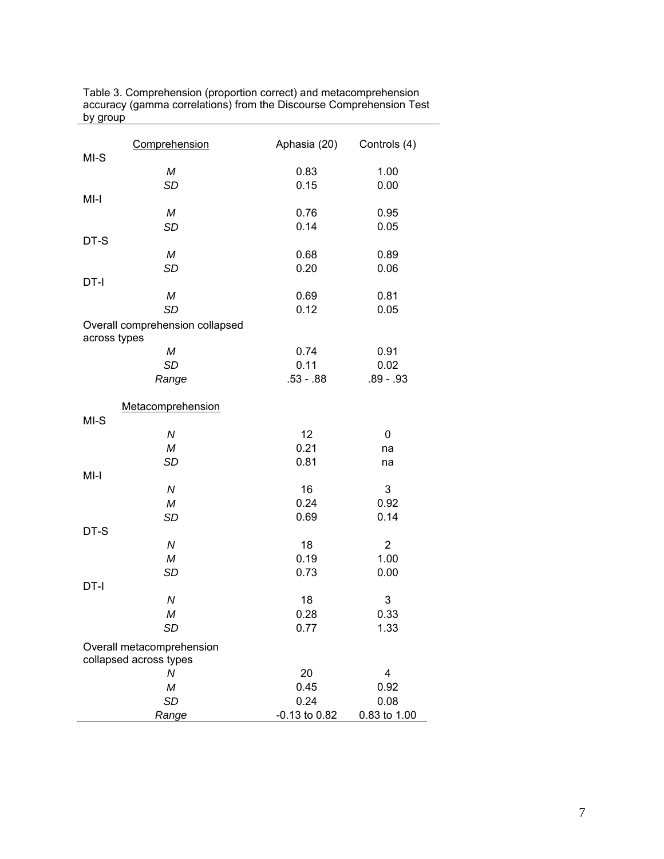| Comprehension                                   | Aphasia (20)      | Controls (4)   |
|-------------------------------------------------|-------------------|----------------|
| $MI-S$                                          |                   |                |
| М                                               | 0.83              | 1.00           |
| <b>SD</b>                                       | 0.15              | 0.00           |
| $MI-I$                                          |                   |                |
| М                                               | 0.76              | 0.95           |
| <b>SD</b>                                       | 0.14              | 0.05           |
| DT-S                                            |                   |                |
| М                                               | 0.68              | 0.89           |
| <b>SD</b>                                       | 0.20              | 0.06           |
| $DT-I$                                          |                   |                |
| М                                               | 0.69              | 0.81           |
| <b>SD</b>                                       | 0.12              | 0.05           |
| Overall comprehension collapsed<br>across types |                   |                |
| М                                               | 0.74              | 0.91           |
| <b>SD</b>                                       | 0.11              | 0.02           |
| Range                                           | $.53 - .88$       | $.89 - .93$    |
| Metacomprehension                               |                   |                |
| $MI-S$                                          |                   |                |
| ${\cal N}$                                      | 12                | 0              |
| М                                               | 0.21              | na             |
| <b>SD</b>                                       | 0.81              | na             |
| $MI-I$                                          |                   |                |
| ${\cal N}$                                      | 16                | 3              |
| ${\cal M}$                                      | 0.24              | 0.92           |
| <b>SD</b>                                       | 0.69              | 0.14           |
| DT-S                                            |                   |                |
| ${\cal N}$                                      | 18                | $\overline{2}$ |
| М                                               | 0.19              | 1.00           |
| <b>SD</b>                                       | 0.73              | 0.00           |
| DT-I                                            |                   |                |
| ${\cal N}$                                      | 18                | 3              |
| M                                               | 0.28              | 0.33           |
| SD                                              | 0.77              | 1.33           |
| Overall metacomprehension                       |                   |                |
| collapsed across types                          |                   |                |
| N                                               | 20                | 4              |
| М                                               | 0.45              | 0.92           |
| <b>SD</b>                                       | 0.24              | 0.08           |
| Range                                           | $-0.13$ to $0.82$ | 0.83 to 1.00   |

Table 3. Comprehension (proportion correct) and metacomprehension accuracy (gamma correlations) from the Discourse Comprehension Test by group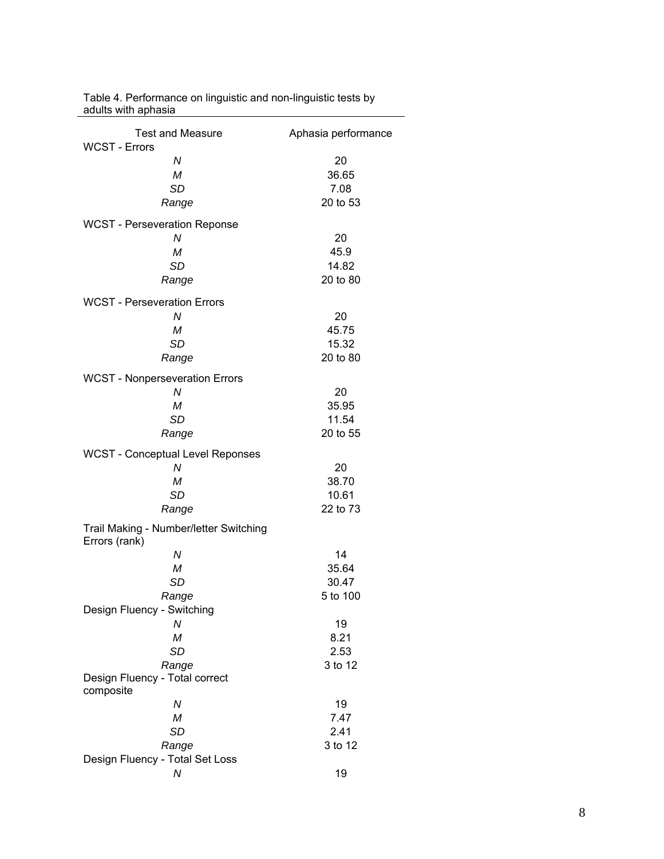| <b>Test and Measure</b>                                 | Aphasia performance |
|---------------------------------------------------------|---------------------|
| <b>WCST - Errors</b>                                    |                     |
| N                                                       | 20                  |
| M                                                       | 36.65               |
| <b>SD</b>                                               | 7.08                |
| Range                                                   | 20 to 53            |
| <b>WCST</b> - Perseveration Reponse                     |                     |
| N                                                       | 20                  |
| M                                                       | 45.9                |
| <b>SD</b>                                               | 14.82               |
| Range                                                   | 20 to 80            |
| <b>WCST - Perseveration Errors</b>                      |                     |
| N                                                       | 20                  |
| M                                                       | 45.75               |
| <b>SD</b>                                               | 15.32               |
| Range                                                   | 20 to 80            |
| <b>WCST - Nonperseveration Errors</b>                   |                     |
| N                                                       | 20                  |
| M                                                       | 35.95               |
| <b>SD</b>                                               | 11.54               |
| Range                                                   | 20 to 55            |
| <b>WCST - Conceptual Level Reponses</b>                 |                     |
| N                                                       | 20                  |
| $\cal M$                                                | 38.70               |
| <b>SD</b>                                               | 10.61               |
| Range                                                   | 22 to 73            |
| Trail Making - Number/letter Switching<br>Errors (rank) |                     |
| N                                                       | 14                  |
| M                                                       | 35.64               |
| <b>SD</b>                                               | 30.47               |
| Range                                                   | 5 to 100            |
| Design Fluency - Switching                              |                     |
| N                                                       | 19                  |
| M                                                       | 8.21                |
| <b>SD</b>                                               | 2.53                |
| Range                                                   | 3 to 12             |
| Design Fluency - Total correct<br>composite             |                     |
| Ν                                                       | 19                  |
| M                                                       | 7.47                |
| <b>SD</b>                                               | 2.41                |
| Range                                                   | 3 to 12             |
| Design Fluency - Total Set Loss                         |                     |
| N                                                       | 19                  |

Table 4. Performance on linguistic and non-linguistic tests by adults with aphasia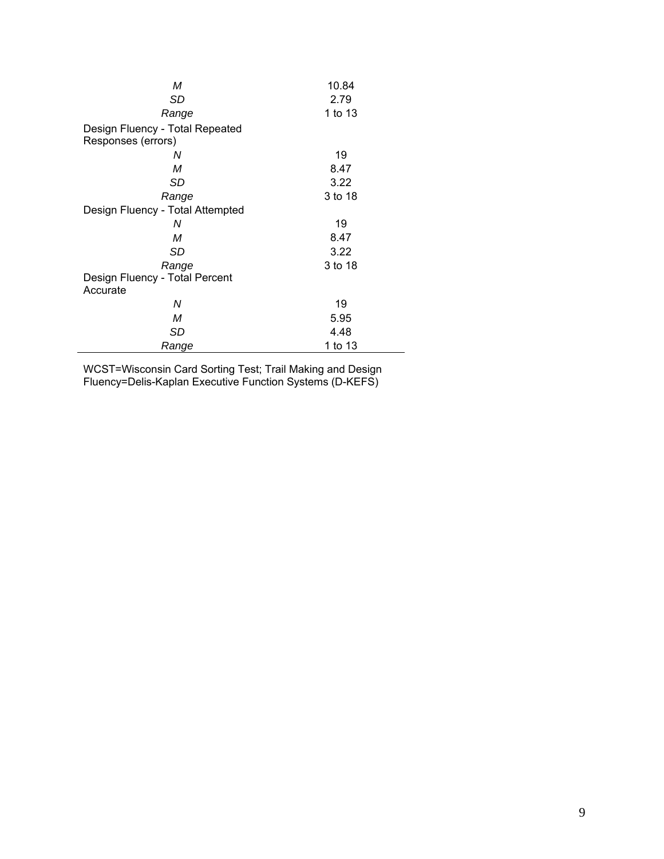| М                                | 10.84   |
|----------------------------------|---------|
| SD                               | 2.79    |
| Range                            | 1 to 13 |
| Design Fluency - Total Repeated  |         |
| Responses (errors)               |         |
| Ν                                | 19      |
| M                                | 8.47    |
| SD                               | 3.22    |
| Range                            | 3 to 18 |
| Design Fluency - Total Attempted |         |
| Ν                                | 19      |
| M                                | 8.47    |
| SD                               | 3.22    |
| Range                            | 3 to 18 |
| Design Fluency - Total Percent   |         |
| Accurate                         |         |
| Ν                                | 19      |
| М                                | 5.95    |
| SD                               | 4.48    |
| Range                            | 1 to 13 |

WCST=Wisconsin Card Sorting Test; Trail Making and Design Fluency=Delis-Kaplan Executive Function Systems (D-KEFS)